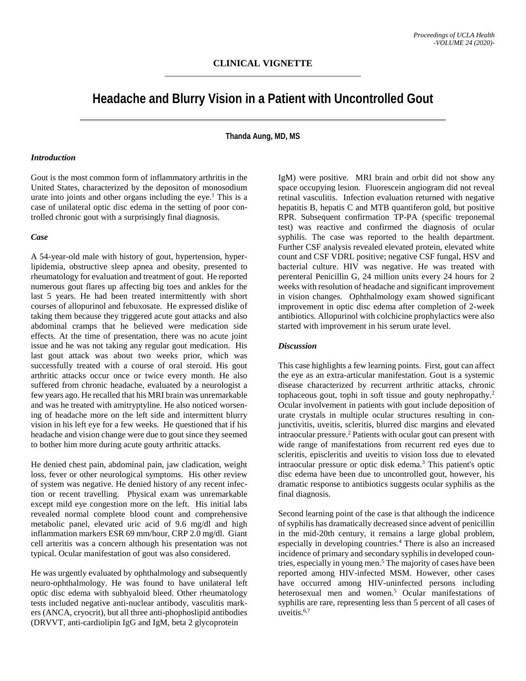# **Headache and Blurry Vision in a Patient with Uncontrolled Gout**

**Thanda Aung, MD, MS**

#### *Introduction*

Gout is the most common form of inflammatory arthritis in the United States, characterized by the depositon of monosodium urate into joints and other organs including the eye.<sup>1</sup> This is a case of unilateral optic disc edema in the setting of poor controlled chronic gout with a surprisingly final diagnosis.

#### *Case*

A 54-year-old male with history of gout, hypertension, hyperlipidemia, obstructive sleep apnea and obesity, presented to rheumatology for evaluation and treatment of gout. He reported numerous gout flares up affecting big toes and ankles for the last 5 years. He had been treated intermittently with short courses of allopurinol and febuxosate. He expressed dislike of taking them because they triggered acute gout attacks and also abdominal cramps that he believed were medication side effects. At the time of presentation, there was no acute joint issue and he was not taking any regular gout medication. His last gout attack was about two weeks prior, which was successfully treated with a course of oral steroid. His gout arthritic attacks occur once or twice every month. He also suffered from chronic headache, evaluated by a neurologist a few years ago. He recalled that his MRI brain was unremarkable and was he treated with amitryptyline. He also noticed worsening of headache more on the left side and intermittent blurry vision in his left eye for a few weeks. He questioned that if his headache and vision change were due to gout since they seemed to bother him more during acute gouty arthritic attacks.

He denied chest pain, abdominal pain, jaw cladication, weight loss, fever or other neurological symptoms. His other review of system was negative. He denied history of any recent infection or recent travelling. Physical exam was unremarkable except mild eye congestion more on the left. His initial labs revealed normal complete blood count and comprehensive metabolic panel, elevated uric acid of 9.6 mg/dl and high inflammation markers ESR 69 mm/hour, CRP 2.0 mg/dl. Giant cell arteritis was a concern although his presentation was not typical. Ocular manifestation of gout was also considered.

He was urgently evaluated by ophthalmology and subsequently neuro-ophthalmology. He was found to have unilateral left optic disc edema with subhyaloid bleed. Other rheumatology tests included negative anti-nuclear antibody, vasculitis markers (ANCA, cryocrit), but all three anti-phophoslipid antibodies (DRVVT, anti-cardiolipin IgG and IgM, beta 2 glycoprotein

IgM) were positive. MRI brain and orbit did not show any space occupying lesion. Fluorescein angiogram did not reveal retinal vasculitis. Infection evaluation returned with negative hepatitis B, hepatis C and MTB quantiferon gold, but positive RPR. Subsequent confirmation TP-PA (specific treponemal test) was reactive and confirmed the diagnosis of ocular syphilis. The case was reported to the health department. Further CSF analysis revealed elevated protein, elevated white count and CSF VDRL positive; negative CSF fungal, HSV and bacterial culture. HIV was negative. He was treated with perenteral Penicillin G, 24 million units every 24 hours for 2 weeks with resolution of headache and significant improvement in vision changes. Ophthalmology exam showed significant improvement in optic disc edema after completion of 2-week antibiotics. Allopurinol with colchicine prophylactics were also started with improvement in his serum urate level.

## *Discussion*

This case highlights a few learning points. First, gout can affect the eye as an extra-articular manifestation. Gout is a systemic disease characterized by recurrent arthritic attacks, chronic tophaceous gout, tophi in soft tissue and gouty nephropathy.2 Ocular involvement in patients with gout include deposition of urate crystals in multiple ocular structures resulting in conjunctivitis, uveitis, scleritis, blurred disc margins and elevated intraocular pressure.2 Patients with ocular gout can present with wide range of manifestations from recurrent red eyes due to scleritis, episcleritis and uveitis to vision loss due to elevated intraocular pressure or optic disk edema.3 This patient's optic disc edema have been due to uncontrolled gout, however, his dramatic response to antibiotics suggests ocular syphilis as the final diagnosis.

Second learning point of the case is that although the indicence of syphilis has dramatically decreased since advent of penicillin in the mid-20th century, it remains a large global problem, especially in developing countries.4 There is also an increased incidence of primary and secondary syphilis in developed countries, especially in young men.5 The majority of cases have been reported among HIV-infected MSM. However, other cases have occurred among HIV-uninfected persons including heterosexual men and women.<sup>5</sup> Ocular manifestations of syphilis are rare, representing less than 5 percent of all cases of uveitis. 6,7